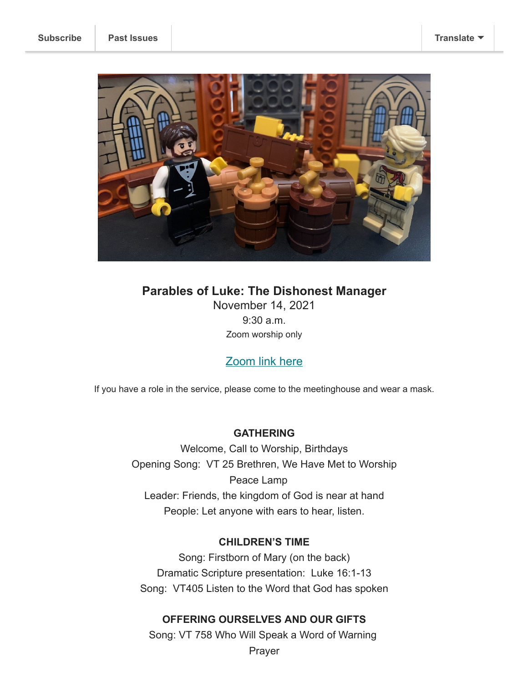**[Subscribe](http://eepurl.com/gIntav) [Past Issues](https://us11.campaign-archive.com/home/?u=a8ef076c62ea17a539f8a1e19&id=e95ec3a146) [Translate](javascript:;)**



# **Parables of Luke: The Dishonest Manager** November 14, 2021 9:30 a.m. Zoom worship only

## [Zoom link here](https://assemblymennonite.us11.list-manage.com/track/click?u=a8ef076c62ea17a539f8a1e19&id=203da7ce1d&e=bff165a0dc)

If you have a role in the service, please come to the meetinghouse and wear a mask.

## **GATHERING**

Welcome, Call to Worship, Birthdays Opening Song: VT 25 Brethren, We Have Met to Worship Peace Lamp Leader: Friends, the kingdom of God is near at hand People: Let anyone with ears to hear, listen.

## **CHILDREN'S TIME**

Song: Firstborn of Mary (on the back) Dramatic Scripture presentation: Luke 16:1-13 Song: VT405 Listen to the Word that God has spoken

## **OFFERING OURSELVES AND OUR GIFTS**

Song: VT 758 Who Will Speak a Word of Warning

Prayer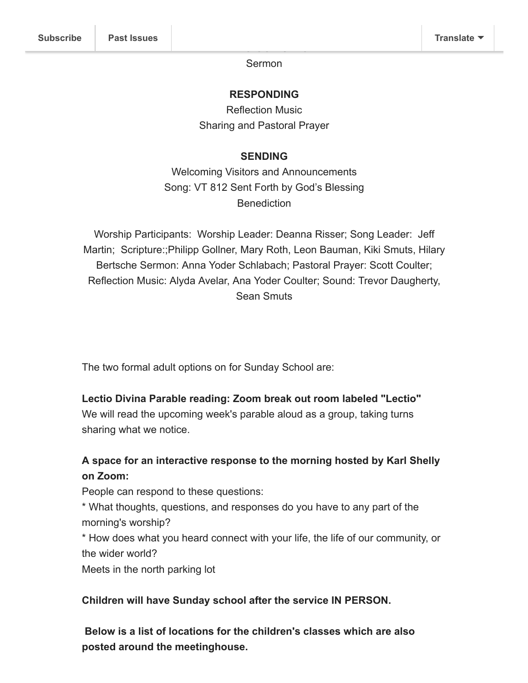**HEARING GOD'S WORD** Sermon

#### **RESPONDING**

Reflection Music Sharing and Pastoral Prayer

### **SENDING**

Welcoming Visitors and Announcements Song: VT 812 Sent Forth by God's Blessing Benediction

Worship Participants: Worship Leader: Deanna Risser; Song Leader: Jeff Martin; Scripture:;Philipp Gollner, Mary Roth, Leon Bauman, Kiki Smuts, Hilary Bertsche Sermon: Anna Yoder Schlabach; Pastoral Prayer: Scott Coulter; Reflection Music: Alyda Avelar, Ana Yoder Coulter; Sound: Trevor Daugherty, Sean Smuts

The two formal adult options on for Sunday School are:

#### **Lectio Divina Parable reading: Zoom break out room labeled "Lectio"**

We will read the upcoming week's parable aloud as a group, taking turns sharing what we notice.

## **A space for an interactive response to the morning hosted by Karl Shelly on Zoom:**

People can respond to these questions:

\* What thoughts, questions, and responses do you have to any part of the morning's worship?

\* How does what you heard connect with your life, the life of our community, or the wider world?

Meets in the north parking lot

#### **Children will have Sunday school after the service IN PERSON.**

**Below is a list of locations for the children's classes which are also posted around the meetinghouse.**